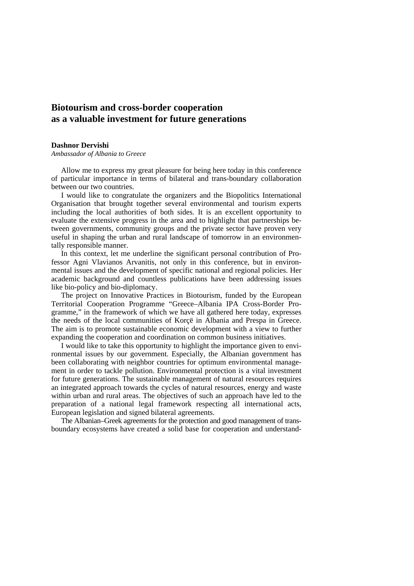## **Biotourism and cross-border cooperation as a valuable investment for future generations**

## **Dashnor Dervishi**

*Ambassador of Albania to Greece* 

Allow me to express my great pleasure for being here today in this conference of particular importance in terms of bilateral and trans-boundary collaboration between our two countries.

I would like to congratulate the organizers and the Biopolitics International Organisation that brought together several environmental and tourism experts including the local authorities of both sides. It is an excellent opportunity to evaluate the extensive progress in the area and to highlight that partnerships between governments, community groups and the private sector have proven very useful in shaping the urban and rural landscape of tomorrow in an environmentally responsible manner.

In this context, let me underline the significant personal contribution of Professor Agni Vlavianos Arvanitis, not only in this conference, but in environmental issues and the development of specific national and regional policies. Her academic background and countless publications have been addressing issues like bio-policy and bio-diplomacy.

The project on Innovative Practices in Biotourism, funded by the European Territorial Cooperation Programme "Greece–Albania IPA Cross-Border Programme," in the framework of which we have all gathered here today, expresses the needs of the local communities of Korçë in Albania and Prespa in Greece. The aim is to promote sustainable economic development with a view to further expanding the cooperation and coordination on common business initiatives.

I would like to take this opportunity to highlight the importance given to environmental issues by our government. Especially, the Albanian government has been collaborating with neighbor countries for optimum environmental management in order to tackle pollution. Environmental protection is a vital investment for future generations. The sustainable management of natural resources requires an integrated approach towards the cycles of natural resources, energy and waste within urban and rural areas. The objectives of such an approach have led to the preparation of a national legal framework respecting all international acts, European legislation and signed bilateral agreements.

The Albanian–Greek agreements for the protection and good management of transboundary ecosystems have created a solid base for cooperation and understand